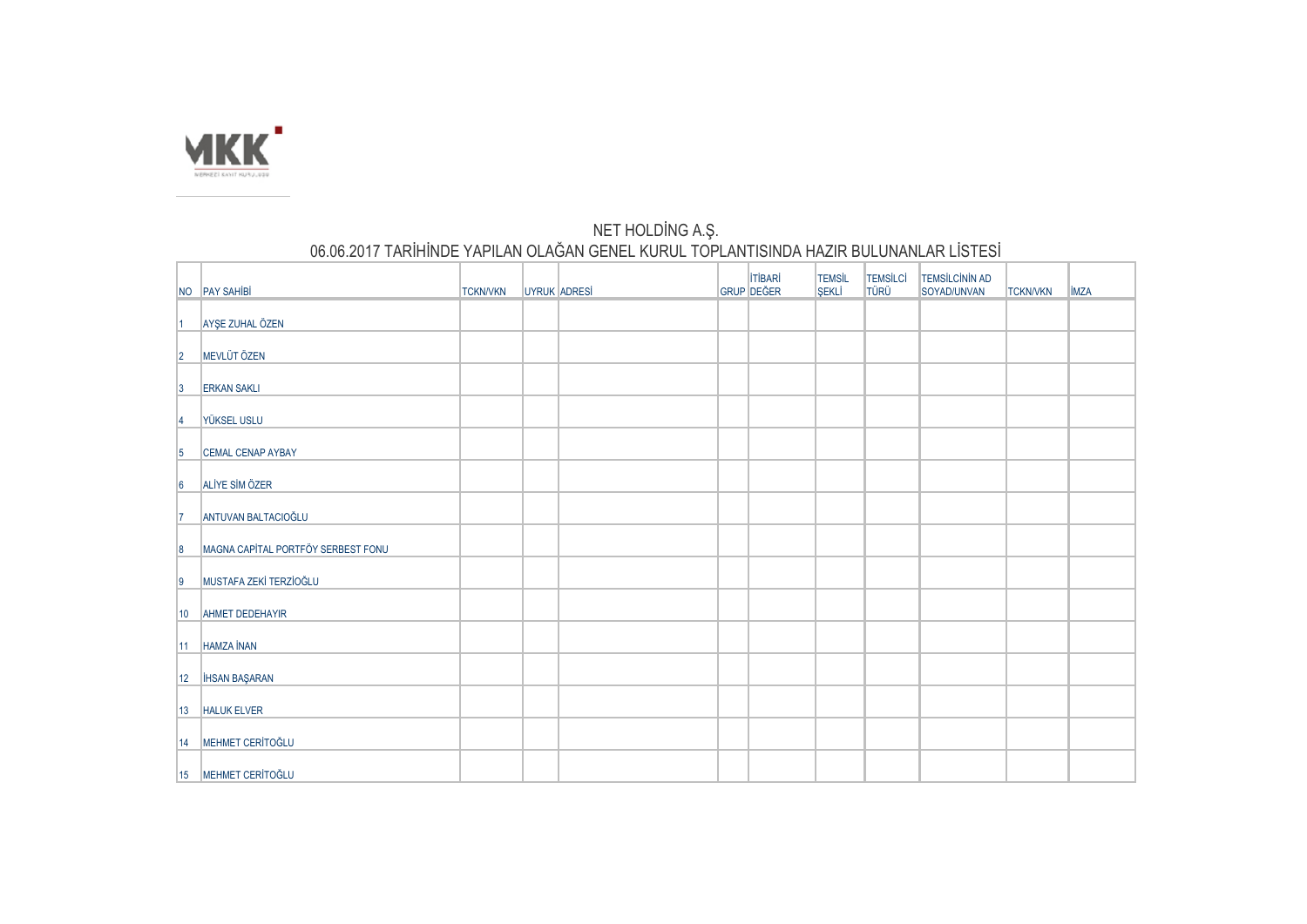

## NET HOLDİNG A.Ş. 06.06.2017 TARİHİNDE YAPILAN OLAĞAN GENEL KURUL TOPLANTISINDA HAZIR BULUNANLAR LİSTESİ

|                      | NO PAY SAHIBI                      | <b>TCKN/VKN</b> | UYRUK ADRESİ | <b>ITIBARI</b><br>GRUP DEĞER | <b>TEMSİL</b><br>SEKLİ | TEMSİLCİ<br>TÜRÜ | <b>TEMSİLCİNİN AD</b><br>SOYAD/UNVAN | <b>TCKN/VKN</b> | <b>IMZA</b> |
|----------------------|------------------------------------|-----------------|--------------|------------------------------|------------------------|------------------|--------------------------------------|-----------------|-------------|
| 11.                  | AYŞE ZUHAL ÖZEN                    |                 |              |                              |                        |                  |                                      |                 |             |
| $\vert$ <sub>2</sub> | MEVLÜT ÖZEN                        |                 |              |                              |                        |                  |                                      |                 |             |
| $\vert 3 \vert$      | <b>ERKAN SAKLI</b>                 |                 |              |                              |                        |                  |                                      |                 |             |
|                      | <b>YÜKSEL USLU</b>                 |                 |              |                              |                        |                  |                                      |                 |             |
| 4                    |                                    |                 |              |                              |                        |                  |                                      |                 |             |
| $\vert 5 \vert$      | <b>CEMAL CENAP AYBAY</b>           |                 |              |                              |                        |                  |                                      |                 |             |
| $\vert 6 \vert$      | ALIYE SIM ÖZER                     |                 |              |                              |                        |                  |                                      |                 |             |
| 17                   | ANTUVAN BALTACIOĞLU                |                 |              |                              |                        |                  |                                      |                 |             |
| $\vert 8 \vert$      | MAGNA CAPITAL PORTFÖY SERBEST FONU |                 |              |                              |                        |                  |                                      |                 |             |
| $\vert$ 9            | MUSTAFA ZEKİ TERZİOĞLU             |                 |              |                              |                        |                  |                                      |                 |             |
| 10                   | AHMET DEDEHAYIR                    |                 |              |                              |                        |                  |                                      |                 |             |
| $ 11\rangle$         | <b>HAMZA İNAN</b>                  |                 |              |                              |                        |                  |                                      |                 |             |
|                      | 12   İHSAN BAŞARAN                 |                 |              |                              |                        |                  |                                      |                 |             |
|                      | 13 HALUK ELVER                     |                 |              |                              |                        |                  |                                      |                 |             |
| 14                   | MEHMET CERÍTOĞLU                   |                 |              |                              |                        |                  |                                      |                 |             |
|                      | 15 MEHMET CERITOĞLU                |                 |              |                              |                        |                  |                                      |                 |             |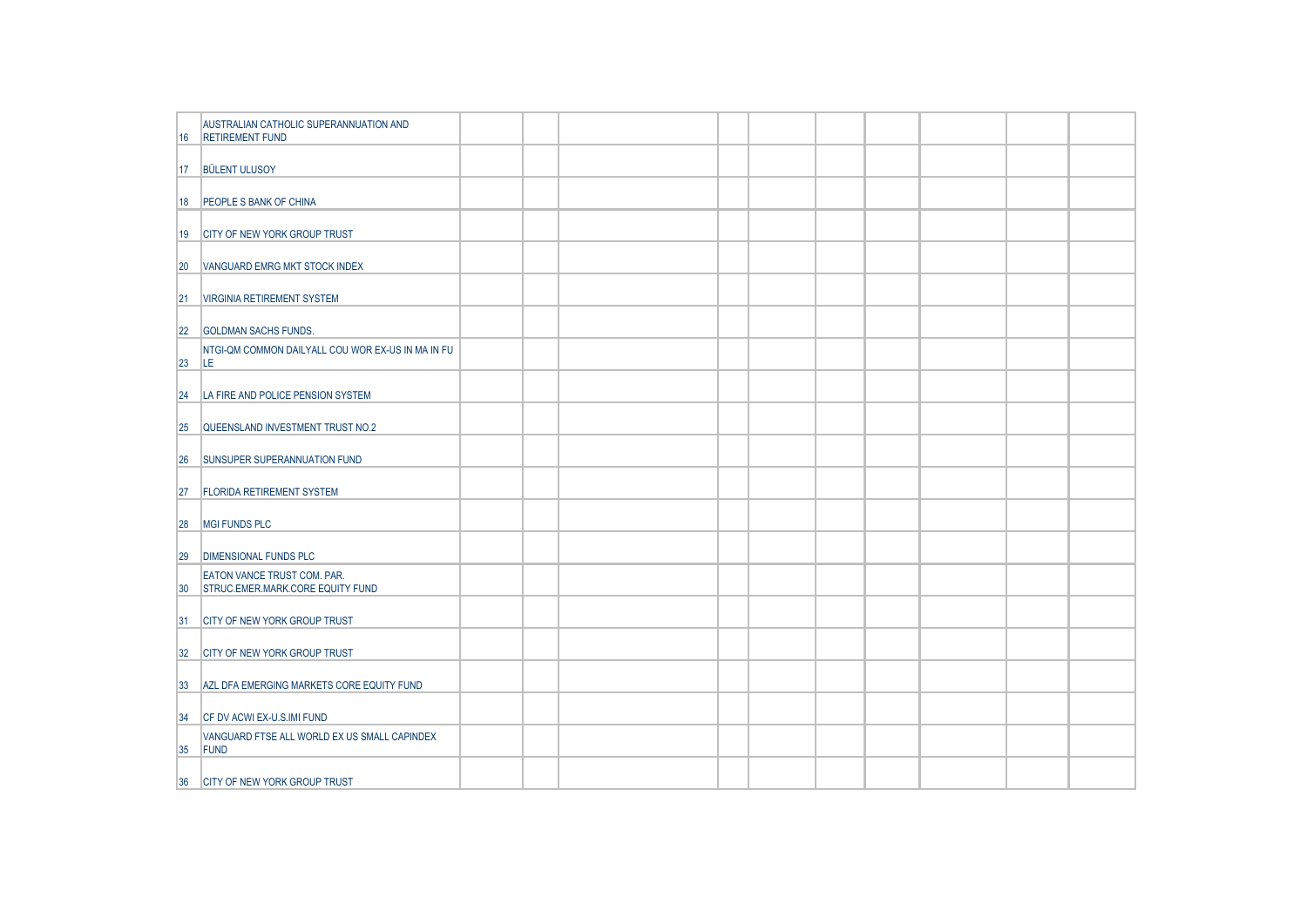| AUSTRALIAN CATHOLIC SUPERANNUATION AND<br><b>RETIREMENT FUND</b><br>16<br>17 BÜLENT ULUSOY<br>18 PEOPLE S BANK OF CHINA |
|-------------------------------------------------------------------------------------------------------------------------|
|                                                                                                                         |
|                                                                                                                         |
|                                                                                                                         |
| 19 CITY OF NEW YORK GROUP TRUST                                                                                         |
| VANGUARD EMRG MKT STOCK INDEX<br>20                                                                                     |
| 21  VIRGINIA RETIREMENT SYSTEM                                                                                          |
| 22 GOLDMAN SACHS FUNDS.                                                                                                 |
| NTGI-QM COMMON DAILYALL COU WOR EX-US IN MA IN FU<br>LE.<br>23                                                          |
| LA FIRE AND POLICE PENSION SYSTEM<br> 24                                                                                |
| QUEENSLAND INVESTMENT TRUST NO.2<br><b>25</b>                                                                           |
| SUNSUPER SUPERANNUATION FUND<br>26                                                                                      |
| <b>FLORIDA RETIREMENT SYSTEM</b><br>27                                                                                  |
| MGI FUNDS PLC<br>28                                                                                                     |
| 29<br><b>DIMENSIONAL FUNDS PLC</b>                                                                                      |
| <b>EATON VANCE TRUST COM. PAR.</b><br>STRUC.EMER.MARK.CORE EQUITY FUND<br>30                                            |
| 31 <br><b>CITY OF NEW YORK GROUP TRUST</b>                                                                              |
| <b>CITY OF NEW YORK GROUP TRUST</b><br> 32                                                                              |
| 33 <br>AZL DFA EMERGING MARKETS CORE EQUITY FUND                                                                        |
| <b>CF DV ACWI EX-U.S.IMI FUND</b><br> 34                                                                                |
| VANGUARD FTSE ALL WORLD EX US SMALL CAPINDEX<br>FUND<br>35                                                              |
| 36 CITY OF NEW YORK GROUP TRUST                                                                                         |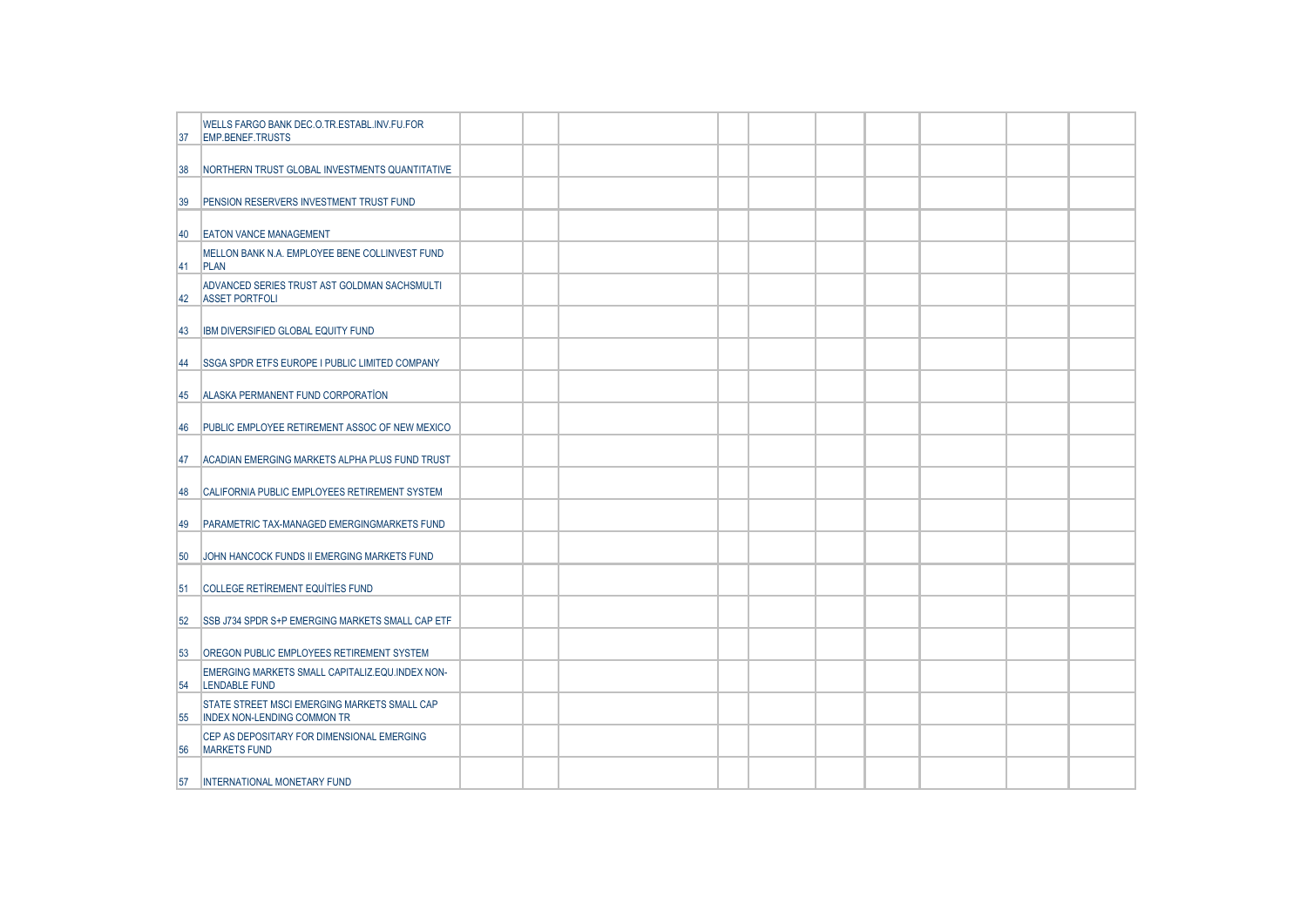| 37        | WELLS FARGO BANK DEC.O.TR.ESTABL.INV.FU.FOR<br>EMP.BENEF.TRUSTS                    |  |  |  |  |  |  |
|-----------|------------------------------------------------------------------------------------|--|--|--|--|--|--|
| 38        | NORTHERN TRUST GLOBAL INVESTMENTS QUANTITATIVE                                     |  |  |  |  |  |  |
| 39        | PENSION RESERVERS INVESTMENT TRUST FUND                                            |  |  |  |  |  |  |
| 40        | <b>EATON VANCE MANAGEMENT</b>                                                      |  |  |  |  |  |  |
| <b>41</b> | MELLON BANK N.A. EMPLOYEE BENE COLLINVEST FUND<br><b>PLAN</b>                      |  |  |  |  |  |  |
| 142       | ADVANCED SERIES TRUST AST GOLDMAN SACHSMULTI<br><b>ASSET PORTFOLI</b>              |  |  |  |  |  |  |
| 43        | IBM DIVERSIFIED GLOBAL EQUITY FUND                                                 |  |  |  |  |  |  |
| 44        | <b>SSGA SPDR ETFS EUROPE I PUBLIC LIMITED COMPANY</b>                              |  |  |  |  |  |  |
| 45        | ALASKA PERMANENT FUND CORPORATION                                                  |  |  |  |  |  |  |
| 46        | PUBLIC EMPLOYEE RETIREMENT ASSOC OF NEW MEXICO                                     |  |  |  |  |  |  |
| 47        | ACADIAN EMERGING MARKETS ALPHA PLUS FUND TRUST                                     |  |  |  |  |  |  |
| 48        | CALIFORNIA PUBLIC EMPLOYEES RETIREMENT SYSTEM                                      |  |  |  |  |  |  |
| 49        | PARAMETRIC TAX-MANAGED EMERGINGMARKETS FUND                                        |  |  |  |  |  |  |
| 50        | JOHN HANCOCK FUNDS II EMERGING MARKETS FUND                                        |  |  |  |  |  |  |
| 51        | COLLEGE RETIREMENT EQUITIES FUND                                                   |  |  |  |  |  |  |
| 52        | <b>SSB J734 SPDR S+P EMERGING MARKETS SMALL CAP ETF</b>                            |  |  |  |  |  |  |
| 53        | <b>OREGON PUBLIC EMPLOYEES RETIREMENT SYSTEM</b>                                   |  |  |  |  |  |  |
| 54        | EMERGING MARKETS SMALL CAPITALIZ.EQU.INDEX NON-<br><b>LENDABLE FUND</b>            |  |  |  |  |  |  |
| 55        | STATE STREET MSCI EMERGING MARKETS SMALL CAP<br><b>INDEX NON-LENDING COMMON TR</b> |  |  |  |  |  |  |
| 56        | CEP AS DEPOSITARY FOR DIMENSIONAL EMERGING<br><b>MARKETS FUND</b>                  |  |  |  |  |  |  |
| 57        | INTERNATIONAL MONETARY FUND                                                        |  |  |  |  |  |  |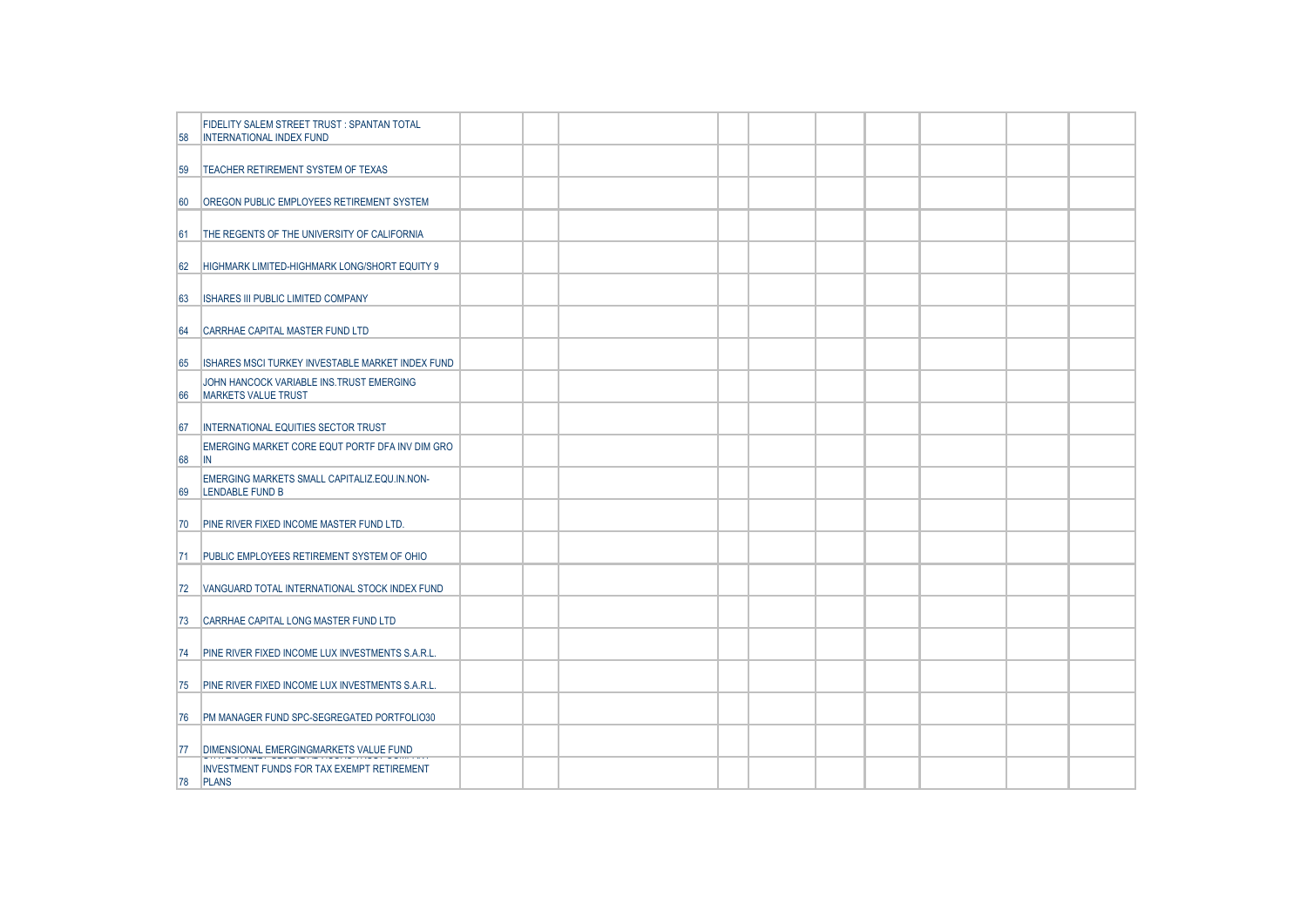| 58  | FIDELITY SALEM STREET TRUST: SPANTAN TOTAL<br><b>INTERNATIONAL INDEX FUND</b> |  |  |  |  |  |  |
|-----|-------------------------------------------------------------------------------|--|--|--|--|--|--|
| 59  | TEACHER RETIREMENT SYSTEM OF TEXAS                                            |  |  |  |  |  |  |
| 60  | OREGON PUBLIC EMPLOYEES RETIREMENT SYSTEM                                     |  |  |  |  |  |  |
| 61  | THE REGENTS OF THE UNIVERSITY OF CALIFORNIA                                   |  |  |  |  |  |  |
| 62  | HIGHMARK LIMITED-HIGHMARK LONG/SHORT EQUITY 9                                 |  |  |  |  |  |  |
| 63  | <b>ISHARES III PUBLIC LIMITED COMPANY</b>                                     |  |  |  |  |  |  |
| 64  | CARRHAE CAPITAL MASTER FUND LTD                                               |  |  |  |  |  |  |
| 65  | ISHARES MSCI TURKEY INVESTABLE MARKET INDEX FUND                              |  |  |  |  |  |  |
| 66  | JOHN HANCOCK VARIABLE INS.TRUST EMERGING<br><b>MARKETS VALUE TRUST</b>        |  |  |  |  |  |  |
| 67  | INTERNATIONAL EQUITIES SECTOR TRUST                                           |  |  |  |  |  |  |
| 68  | EMERGING MARKET CORE EQUT PORTF DFA INV DIM GRO<br>IN.                        |  |  |  |  |  |  |
| 69  | EMERGING MARKETS SMALL CAPITALIZ.EQU.IN.NON-<br>LENDABLE FUND B               |  |  |  |  |  |  |
| 70  | PINE RIVER FIXED INCOME MASTER FUND LTD.                                      |  |  |  |  |  |  |
| 171 | PUBLIC EMPLOYEES RETIREMENT SYSTEM OF OHIO                                    |  |  |  |  |  |  |
| 72  | VANGUARD TOTAL INTERNATIONAL STOCK INDEX FUND                                 |  |  |  |  |  |  |
| 73  | CARRHAE CAPITAL LONG MASTER FUND LTD                                          |  |  |  |  |  |  |
| 74  | PINE RIVER FIXED INCOME LUX INVESTMENTS S.A.R.L.                              |  |  |  |  |  |  |
| 75  | PINE RIVER FIXED INCOME LUX INVESTMENTS S.A.R.L.                              |  |  |  |  |  |  |
| 76  | PM MANAGER FUND SPC-SEGREGATED PORTFOLIO30                                    |  |  |  |  |  |  |
| 77  | DIMENSIONAL EMERGINGMARKETS VALUE FUND                                        |  |  |  |  |  |  |
| 78  | <b>INVESTMENT FUNDS FOR TAX EXEMPT RETIREMENT</b><br><b>PLANS</b>             |  |  |  |  |  |  |